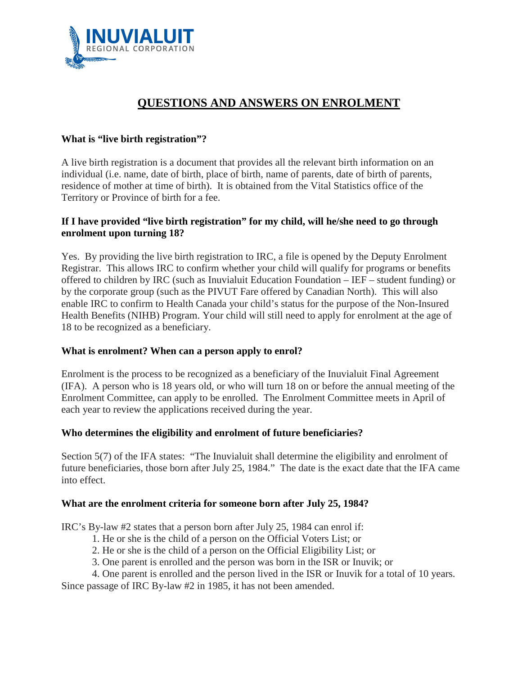

# **QUESTIONS AND ANSWERS ON ENROLMENT**

### **What is "live birth registration"?**

A live birth registration is a document that provides all the relevant birth information on an individual (i.e. name, date of birth, place of birth, name of parents, date of birth of parents, residence of mother at time of birth). It is obtained from the Vital Statistics office of the Territory or Province of birth for a fee.

## **If I have provided "live birth registration" for my child, will he/she need to go through enrolment upon turning 18?**

Yes.By providing the live birth registration to IRC, a file is opened by the Deputy Enrolment Registrar. This allows IRC to confirm whether your child will qualify for programs or benefits offered to children by IRC (such as Inuvialuit Education Foundation – IEF – student funding) or by the corporate group (such as the PIVUT Fare offered by Canadian North). This will also enable IRC to confirm to Health Canada your child's status for the purpose of the Non-Insured Health Benefits (NIHB) Program. Your child will still need to apply for enrolment at the age of 18 to be recognized as a beneficiary.

#### **What is enrolment? When can a person apply to enrol?**

Enrolment is the process to be recognized as a beneficiary of the Inuvialuit Final Agreement (IFA). A person who is 18 years old, or who will turn 18 on or before the annual meeting of the Enrolment Committee, can apply to be enrolled. The Enrolment Committee meets in April of each year to review the applications received during the year.

#### **Who determines the eligibility and enrolment of future beneficiaries?**

Section 5(7) of the IFA states: "The Inuvialuit shall determine the eligibility and enrolment of future beneficiaries, those born after July 25, 1984." The date is the exact date that the IFA came into effect.

#### **What are the enrolment criteria for someone born after July 25, 1984?**

IRC's By-law #2 states that a person born after July 25, 1984 can enrol if:

- 1. He or she is the child of a person on the Official Voters List; or
- 2. He or she is the child of a person on the Official Eligibility List; or
- 3. One parent is enrolled and the person was born in the ISR or Inuvik; or
- 4. One parent is enrolled and the person lived in the ISR or Inuvik for a total of 10 years.

Since passage of IRC By-law #2 in 1985, it has not been amended.